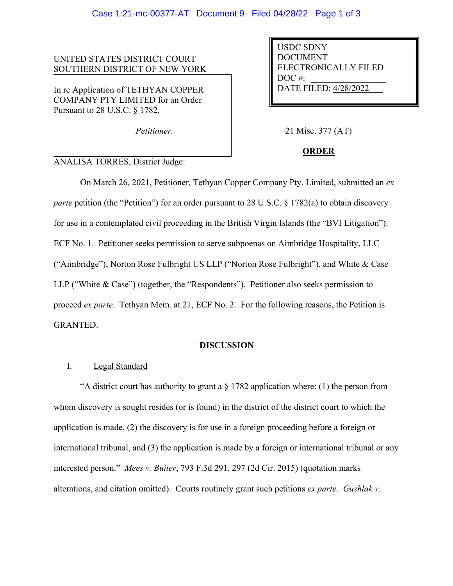### UNITED STATES DISTRICT COURT SOUTHERN DISTRICT OF NEW YORK

In re Application of TETHYAN COPPER COMPANY PTY LIMITED for an Order Pursuant to 28 U.S.C. § 1782,

USDC SDNY DOCUMENT ELECTRONICALLY FILED  $DOC$  #: DATE FILED: 4/28/2022

*Petitioner.* 21 Misc. 377 (AT)

# **ORDER**

## ANALISA TORRES, District Judge:

On March 26, 2021, Petitioner, Tethyan Copper Company Pty. Limited, submitted an *ex parte* petition (the "Petition") for an order pursuant to 28 U.S.C. § 1782(a) to obtain discovery for use in a contemplated civil proceeding in the British Virgin Islands (the "BVI Litigation"). ECF No. 1. Petitioner seeks permission to serve subpoenas on Aimbridge Hospitality, LLC ("Aimbridge"), Norton Rose Fulbright US LLP ("Norton Rose Fulbright"), and White & Case LLP ("White & Case") (together, the "Respondents"). Petitioner also seeks permission to proceed *ex parte*. Tethyan Mem. at 21, ECF No. 2. For the following reasons, the Petition is GRANTED.

### **DISCUSSION**

# I. Legal Standard

"A district court has authority to grant a  $\S 1782$  application where: (1) the person from whom discovery is sought resides (or is found) in the district of the district court to which the application is made, (2) the discovery is for use in a foreign proceeding before a foreign or international tribunal, and (3) the application is made by a foreign or international tribunal or any interested person." *Mees v. Buiter*, 793 F.3d 291, 297 (2d Cir. 2015) (quotation marks alterations, and citation omitted). Courts routinely grant such petitions *ex parte*. *Gushlak v.*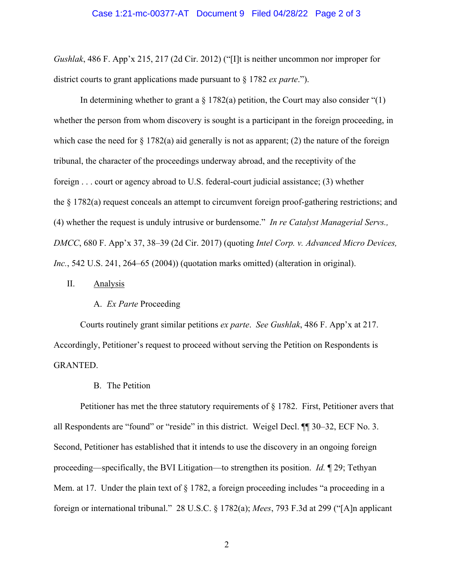#### Case 1:21-mc-00377-AT Document 9 Filed 04/28/22 Page 2 of 3

*Gushlak*, 486 F. App'x 215, 217 (2d Cir. 2012) ("[I]t is neither uncommon nor improper for district courts to grant applications made pursuant to § 1782 *ex parte*.").

In determining whether to grant a  $\S 1782(a)$  petition, the Court may also consider "(1) whether the person from whom discovery is sought is a participant in the foreign proceeding, in which case the need for  $\S 1782(a)$  aid generally is not as apparent; (2) the nature of the foreign tribunal, the character of the proceedings underway abroad, and the receptivity of the foreign . . . court or agency abroad to U.S. federal-court judicial assistance; (3) whether the § 1782(a) request conceals an attempt to circumvent foreign proof-gathering restrictions; and (4) whether the request is unduly intrusive or burdensome." *In re Catalyst Managerial Servs., DMCC*, 680 F. App'x 37, 38–39 (2d Cir. 2017) (quoting *Intel Corp. v. Advanced Micro Devices, Inc.*, 542 U.S. 241, 264–65 (2004)) (quotation marks omitted) (alteration in original).

### II. Analysis

#### A. *Ex Parte* Proceeding

Courts routinely grant similar petitions *ex parte*. *See Gushlak*, 486 F. App'x at 217. Accordingly, Petitioner's request to proceed without serving the Petition on Respondents is GRANTED.

B. The Petition

Petitioner has met the three statutory requirements of § 1782. First, Petitioner avers that all Respondents are "found" or "reside" in this district. Weigel Decl. ¶¶ 30–32, ECF No. 3. Second, Petitioner has established that it intends to use the discovery in an ongoing foreign proceeding—specifically, the BVI Litigation—to strengthen its position. *Id.* ¶ 29; Tethyan Mem. at 17. Under the plain text of  $\S 1782$ , a foreign proceeding includes "a proceeding in a foreign or international tribunal." 28 U.S.C. § 1782(a); *Mees*, 793 F.3d at 299 ("[A]n applicant

2